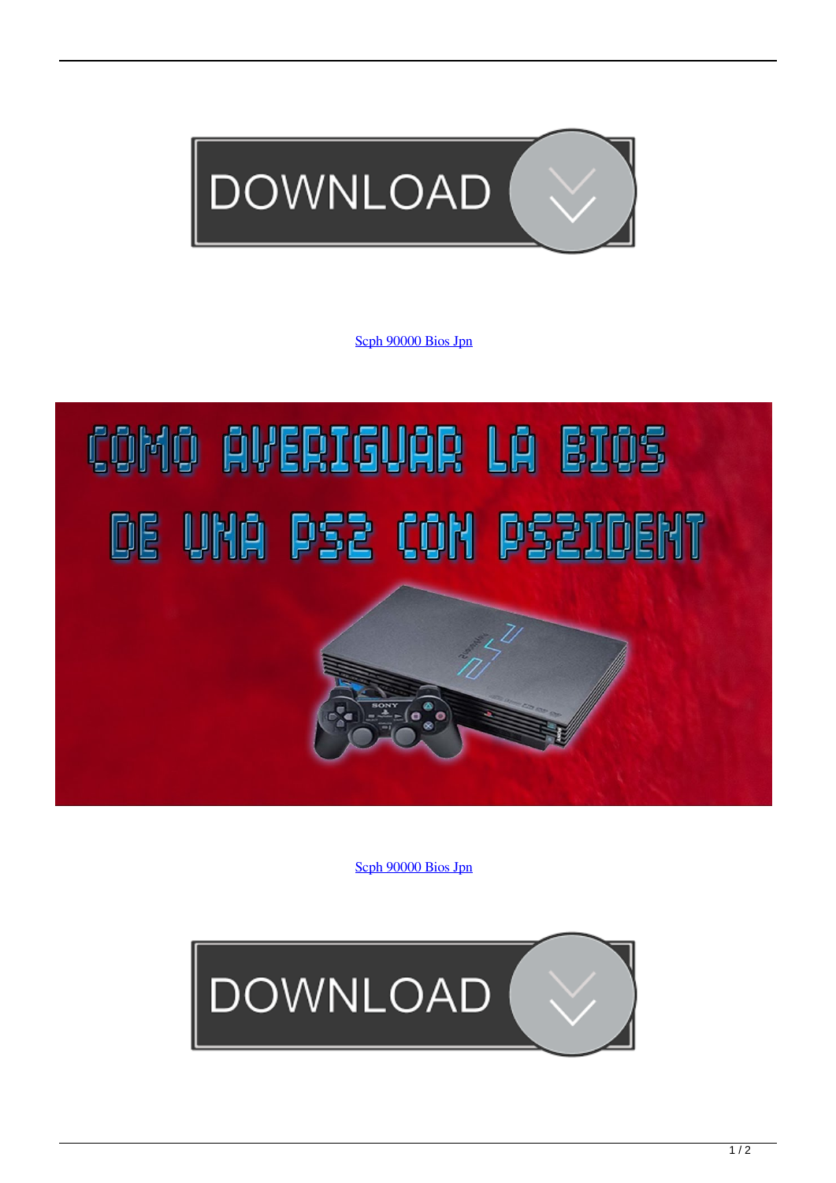

[Scph 90000 Bios Jpn](http://tinurll.com/1dzvtr)

## COMO AVERIGUAR LA BIOS DE UNA PS2 CON PS2IDENT

[Scph 90000 Bios Jpn](http://tinurll.com/1dzvtr)